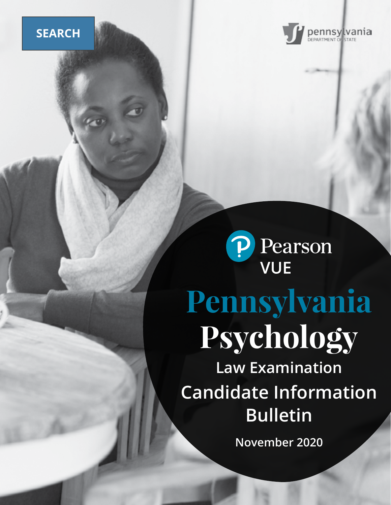# **SEARCH**





# **Pennsylvania Psychology**

**Law Examination Candidate Information Bulletin**

**November 2020**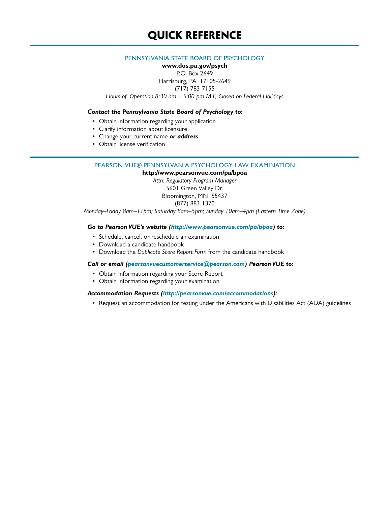#### PENNSYLVANIA STATE BOARD OF PSYCHOLOGY

**www.dos.pa.gov/psych** P.O. Box 2649 Harrisburg, PA 17105-2649 (717) 783-7155 *Hours of Operation 8:30 am – 5:00 pm M-F, Closed on Federal Holidays*

#### *Contact the Pennsylvania State Board of Psychology to:*

- Obtain information regarding your application
- Clarify information about licensure
- Change your current name *or address*
- Obtain license verification

#### PEARSON VUE® PENNSYLVANIA PSYCHOLOGY LAW EXAMINATION

**http://www.pearsonvue.com/pa/bpoa** *Attn: Regulatory Program Manager* 5601 Green Valley Dr. Bloomington, MN 55437 (877) 883-1370

*Monday–Friday 8am–11pm; Saturday 8am–5pm; Sunday 10am–4pm (Eastern Time Zone)*

#### *Go to Pearson VUE's website (http://www.pearsonvue.com/pa/bpoa) to:*

- Schedule, cancel, or reschedule an examination
- Download a candidate handbook
- Download the *Duplicate Score Report Form* from the candidate handbook

#### *Call or email (pearsonvuecustomerservice@pearson.com) Pearson VUE to:*

- Obtain information regarding your Score Report
- Obtain information regarding your examination

#### *Accommodation Requests [\(http://pearsonvue.com/accommodations\)](http://pearsonvue.com/accommodations):*

• Request an accommodation for testing under the Americans with Disabilities Act (ADA) guidelines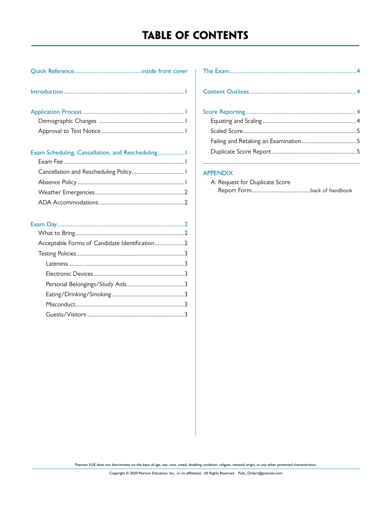# **TABLE OF CONTENTS**

| . |  |
|---|--|
|   |  |

| Exam Scheduling, Cancellation, and Rescheduling |  |
|-------------------------------------------------|--|
|                                                 |  |
|                                                 |  |
|                                                 |  |
|                                                 |  |
|                                                 |  |

| Acceptable Forms of Candidate Identification 2 |  |
|------------------------------------------------|--|
|                                                |  |
|                                                |  |
|                                                |  |
|                                                |  |
|                                                |  |
|                                                |  |
|                                                |  |
|                                                |  |

#### APPENDIX

| A: Request for Duplicate Score |  |
|--------------------------------|--|
|                                |  |

Pearson VUE does not discriminate on the basis of age, sex, race, creed, disabling condition, religion, national origin, or any other protected characteristics.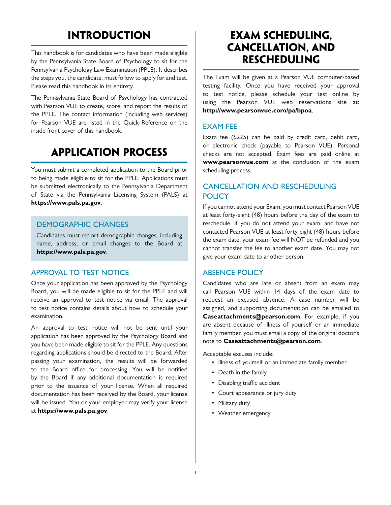# **INTRODUCTION**

This handbook is for candidates who have been made eligible by the Pennsylvania State Board of Psychology to sit for the Pennsylvania Psychology Law Examination (PPLE). It describes the steps you, the candidate, must follow to apply for and test. Please read this handbook in its entirety.

The Pennsylvania State Board of Psychology has contracted with Pearson VUE to create, score, and report the results of the PPLE. The contact information (including web services) for Pearson VUE are listed in the Quick Reference on the inside front cover of this handbook.

# **APPLICATION PROCESS**

You must submit a completed application to the Board prior to being made eligible to sit for the PPLE. Applications must be submitted electronically to the Pennsylvania Department of State via the Pennsylvania Licensing System (PALS) at **https://www.pals.pa.gov**.

## DEMOGRAPHIC CHANGES

Candidates must report demographic changes, including name, address, or email changes to the Board at **https://www.pals.pa.gov**.

## APPROVAL TO TEST NOTICE

Once your application has been approved by the Psychology Board, you will be made eligible to sit for the PPLE and will receive an approval to test notice via email. The approval to test notice contains details about how to schedule your examination.

An approval to test notice will not be sent until your application has been approved by the Psychology Board and you have been made eligible to sit for the PPLE. Any questions regarding applications should be directed to the Board. After passing your examination, the results will be forwarded to the Board office for processing. You will be notified by the Board if any additional documentation is required prior to the issuance of your license. When all required documentation has been received by the Board, your license will be issued. You or your employer may verify your license at **https://www.pals.pa.gov**.

# **EXAM SCHEDULING, CANCELLATION, AND RESCHEDULING**

The Exam will be given at a Pearson VUE computer-based testing facility. Once you have received your approval to test notice, please schedule your test online by using the Pearson VUE web reservations site at: **http://www.pearsonvue.com/pa/bpoa**.

## EXAM FEE

Exam fee (\$225) can be paid by credit card, debit card, or electronic check (payable to Pearson VUE). Personal checks are not accepted. Exam fees are paid online at **www.pearsonvue.com** at the conclusion of the exam scheduling process.

## CANCELLATION AND RESCHEDULING POLICY

If you cannot attend your Exam, you must contact Pearson VUE at least forty-eight (48) hours before the day of the exam to reschedule. If you do not attend your exam, and have not contacted Pearson VUE at least forty-eight (48) hours before the exam date, your exam fee will NOT be refunded and you cannot transfer the fee to another exam date. You may not give your exam date to another person.

## ABSENCE POLICY

Candidates who are late or absent from an exam may call Pearson VUE within 14 days of the exam date to request an excused absence. A case number will be assigned, and supporting documentation can be emailed to **Caseattachments@pearson.com**. For example, if you are absent because of illness of yourself or an immediate family member, you must email a copy of the original doctor's note to **Caseattachments@pearson.com**.

Acceptable excuses include:

- Illness of yourself or an immediate family member
- Death in the family
- Disabling traffic accident
- Court appearance or jury duty
- Military duty
- Weather emergency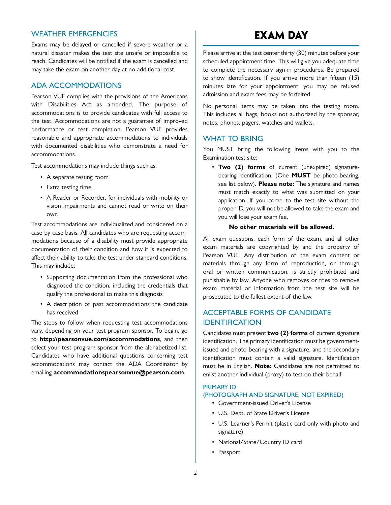#### WEATHER EMERGENCIES

Exams may be delayed or cancelled if severe weather or a natural disaster makes the test site unsafe or impossible to reach. Candidates will be notified if the exam is cancelled and may take the exam on another day at no additional cost.

#### ADA ACCOMMODATIONS

Pearson VUE complies with the provisions of the Americans with Disabilities Act as amended. The purpose of accommodations is to provide candidates with full access to the test. Accommodations are not a guarantee of improved performance or test completion. Pearson VUE provides reasonable and appropriate accommodations to individuals with documented disabilities who demonstrate a need for accommodations.

Test accommodations may include things such as:

- A separate testing room
- Extra testing time
- A Reader or Recorder, for individuals with mobility or vision impairments and cannot read or write on their own

Test accommodations are individualized and considered on a case-by-case basis. All candidates who are requesting accommodations because of a disability must provide appropriate documentation of their condition and how it is expected to affect their ability to take the test under standard conditions. This may include:

- Supporting documentation from the professional who diagnosed the condition, including the credentials that qualify the professional to make this diagnosis
- A description of past accommodations the candidate has received

The steps to follow when requesting test accommodations vary, depending on your test program sponsor. To begin, go to **http://pearsonvue.com/accommodations**, and then select your test program sponsor from the alphabetized list. Candidates who have additional questions concerning test accommodations may contact the ADA Coordinator by emailing **accommodationspearsonvue@pearson.com**.

# **EXAM DAY**

Please arrive at the test center thirty (30) minutes before your scheduled appointment time. This will give you adequate time to complete the necessary sign-in procedures. Be prepared to show identification. If you arrive more than fifteen (15) minutes late for your appointment, you may be refused admission and exam fees may be forfeited.

No personal items may be taken into the testing room. This includes all bags, books not authorized by the sponsor, notes, phones, pagers, watches and wallets.

#### WHAT TO BRING

You MUST bring the following items with you to the Examination test site:

• **Two (2) forms** of current (unexpired) signaturebearing identification. (One **MUST** be photo-bearing, see list below). **Please note:** The signature and names must match exactly to what was submitted on your application. If you come to the test site without the proper ID, you will not be allowed to take the exam and you will lose your exam fee.

#### **No other materials will be allowed.**

All exam questions, each form of the exam, and all other exam materials are copyrighted by and the property of Pearson VUE. Any distribution of the exam content or materials through any form of reproduction, or through oral or written communication, is strictly prohibited and punishable by law. Anyone who removes or tries to remove exam material or information from the test site will be prosecuted to the fullest extent of the law.

## ACCEPTABLE FORMS OF CANDIDATE IDENTIFICATION

Candidates must present **two (2) forms** of current signature identification. The primary identification must be governmentissued and photo-bearing with a signature, and the secondary identification must contain a valid signature. Identification must be in English. **Note:** Candidates are not permitted to enlist another individual (proxy) to test on their behalf

#### PRIMARY ID

#### (PHOTOGRAPH AND SIGNATURE, NOT EXPIRED)

- Government-issued Driver's License
- U.S. Dept. of State Driver's License
- U.S. Learner's Permit (plastic card only with photo and signature)
- National/State/Country ID card
- Passport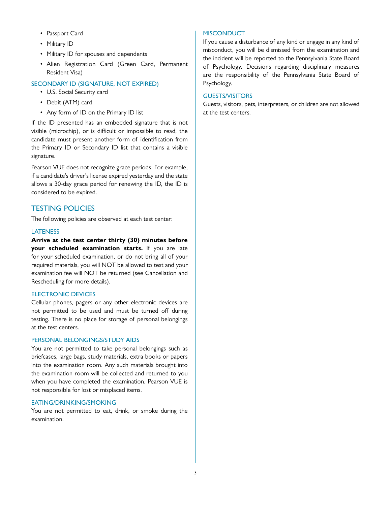- Passport Card
- Military ID
- Military ID for spouses and dependents
- Alien Registration Card (Green Card, Permanent Resident Visa)

#### SECONDARY ID (SIGNATURE, NOT EXPIRED)

- U.S. Social Security card
- Debit (ATM) card
- Any form of ID on the Primary ID list

If the ID presented has an embedded signature that is not visible (microchip), or is difficult or impossible to read, the candidate must present another form of identification from the Primary ID or Secondary ID list that contains a visible signature.

Pearson VUE does not recognize grace periods. For example, if a candidate's driver's license expired yesterday and the state allows a 30-day grace period for renewing the ID, the ID is considered to be expired.

## TESTING POLICIES

The following policies are observed at each test center:

#### **LATENESS**

**Arrive at the test center thirty (30) minutes before your scheduled examination starts.** If you are late for your scheduled examination, or do not bring all of your required materials, you will NOT be allowed to test and your examination fee will NOT be returned (see Cancellation and Rescheduling for more details).

#### ELECTRONIC DEVICES

Cellular phones, pagers or any other electronic devices are not permitted to be used and must be turned off during testing. There is no place for storage of personal belongings at the test centers.

#### PERSONAL BELONGINGS/STUDY AIDS

You are not permitted to take personal belongings such as briefcases, large bags, study materials, extra books or papers into the examination room. Any such materials brought into the examination room will be collected and returned to you when you have completed the examination. Pearson VUE is not responsible for lost or misplaced items.

#### EATING/DRINKING/SMOKING

You are not permitted to eat, drink, or smoke during the examination.

#### **MISCONDUCT**

If you cause a disturbance of any kind or engage in any kind of misconduct, you will be dismissed from the examination and the incident will be reported to the Pennsylvania State Board of Psychology. Decisions regarding disciplinary measures are the responsibility of the Pennsylvania State Board of Psychology.

#### GUESTS/VISITORS

Guests, visitors, pets, interpreters, or children are not allowed at the test centers.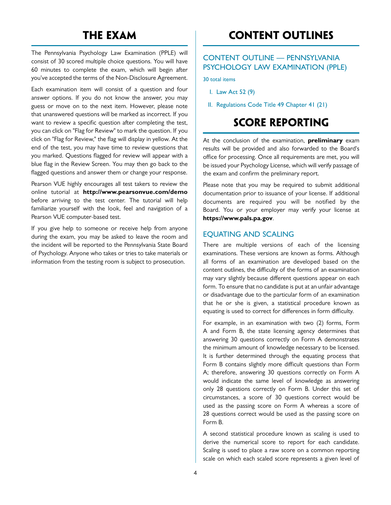# **THE EXAM**

The Pennsylvania Psychology Law Examination (PPLE) will consist of 30 scored multiple choice questions. You will have 60 minutes to complete the exam, which will begin after you've accepted the terms of the Non-Disclosure Agreement.

Each examination item will consist of a question and four answer options. If you do not know the answer, you may guess or move on to the next item. However, please note that unanswered questions will be marked as incorrect. If you want to review a specific question after completing the test, you can click on "Flag for Review" to mark the question. If you click on "Flag for Review," the flag will display in yellow. At the end of the test, you may have time to review questions that you marked. Questions flagged for review will appear with a blue flag in the Review Screen. You may then go back to the flagged questions and answer them or change your response.

Pearson VUE highly encourages all test takers to review the online tutorial at **http://www.pearsonvue.com/demo** before arriving to the test center. The tutorial will help familiarize yourself with the look, feel and navigation of a Pearson VUE computer-based test.

If you give help to someone or receive help from anyone during the exam, you may be asked to leave the room and the incident will be reported to the Pennsylvania State Board of Psychology. Anyone who takes or tries to take materials or information from the testing room is subject to prosecution.

# **CONTENT OUTLINES**

## CONTENT OUTLINE — PENNSYLVANIA PSYCHOLOGY LAW EXAMINATION (PPLE)

30 total items

- I. Law Act 52 (9)
- II. Regulations Code Title 49 Chapter 41 (21)

# **SCORE REPORTING**

At the conclusion of the examination, **preliminary** exam results will be provided and also forwarded to the Board's office for processing. Once all requirements are met, you will be issued your Psychology License, which will verify passage of the exam and confirm the preliminary report.

Please note that you may be required to submit additional documentation prior to issuance of your license. If additional documents are required you will be notified by the Board. You or your employer may verify your license at **https://www.pals.pa.gov**.

#### EQUATING AND SCALING

There are multiple versions of each of the licensing examinations. These versions are known as forms. Although all forms of an examination are developed based on the content outlines, the difficulty of the forms of an examination may vary slightly because different questions appear on each form. To ensure that no candidate is put at an unfair advantage or disadvantage due to the particular form of an examination that he or she is given, a statistical procedure known as equating is used to correct for differences in form difficulty.

For example, in an examination with two (2) forms, Form A and Form B, the state licensing agency determines that answering 30 questions correctly on Form A demonstrates the minimum amount of knowledge necessary to be licensed. It is further determined through the equating process that Form B contains slightly more difficult questions than Form A; therefore, answering 30 questions correctly on Form A would indicate the same level of knowledge as answering only 28 questions correctly on Form B. Under this set of circumstances, a score of 30 questions correct would be used as the passing score on Form A whereas a score of 28 questions correct would be used as the passing score on Form B.

A second statistical procedure known as scaling is used to derive the numerical score to report for each candidate. Scaling is used to place a raw score on a common reporting scale on which each scaled score represents a given level of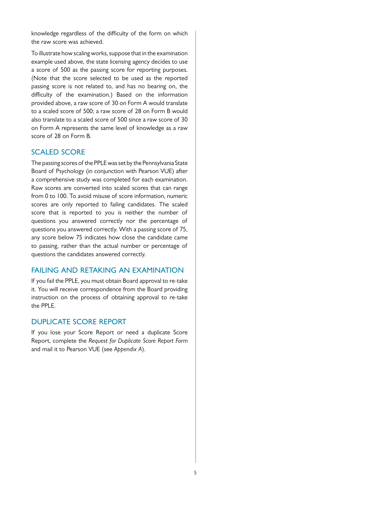knowledge regardless of the difficulty of the form on which the raw score was achieved.

To illustrate how scaling works, suppose that in the examination example used above, the state licensing agency decides to use a score of 500 as the passing score for reporting purposes. (Note that the score selected to be used as the reported passing score is not related to, and has no bearing on, the difficulty of the examination.) Based on the information provided above, a raw score of 30 on Form A would translate to a scaled score of 500; a raw score of 28 on Form B would also translate to a scaled score of 500 since a raw score of 30 on Form A represents the same level of knowledge as a raw score of 28 on Form B.

#### SCALED SCORE

The passing scores of the PPLE was set by the Pennsylvania State Board of Psychology (in conjunction with Pearson VUE) after a comprehensive study was completed for each examination. Raw scores are converted into scaled scores that can range from 0 to 100. To avoid misuse of score information, numeric scores are only reported to failing candidates. The scaled score that is reported to you is neither the number of questions you answered correctly nor the percentage of questions you answered correctly. With a passing score of 75, any score below 75 indicates how close the candidate came to passing, rather than the actual number or percentage of questions the candidates answered correctly.

#### FAILING AND RETAKING AN EXAMINATION

If you fail the PPLE, you must obtain Board approval to re-take it. You will receive correspondence from the Board providing instruction on the process of obtaining approval to re-take the PPLE.

#### DUPLICATE SCORE REPORT

If you lose your Score Report or need a duplicate Score Report, complete the *Request for Duplicate Score Report Form* and mail it to Pearson VUE (see *Appendix A*).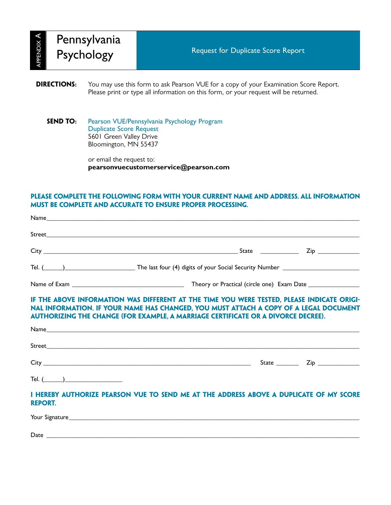APPENDIX  $\triangleleft$ 

| appendix <b>A</b>  | Pennsylvania<br>Psychology |                                                                                    | <b>Request for Duplicate Score Report</b>                                                                                                                                     |
|--------------------|----------------------------|------------------------------------------------------------------------------------|-------------------------------------------------------------------------------------------------------------------------------------------------------------------------------|
| <b>DIRECTIONS:</b> |                            |                                                                                    | You may use this form to ask Pearson VUE for a copy of your Examination Score Report.<br>Please print or type all information on this form, or your request will be returned. |
| <b>SEND TO:</b>    |                            | <b>Duplicate Score Request</b><br>5601 Green Valley Drive<br>Bloomington, MN 55437 | Pearson VUE/Pennsylvania Psychology Program                                                                                                                                   |

or email the request to: **pearsonvuecustomerservice@pearson.com**

## **Please complete the following form with your current name and address. All information must be complete and accurate to ensure proper processing.**

|                | Tel. (1992) 2008 The last four (4) digits of your Social Security Number 2008 2009 2010                                                                                                                                                                                         |  |
|----------------|---------------------------------------------------------------------------------------------------------------------------------------------------------------------------------------------------------------------------------------------------------------------------------|--|
|                |                                                                                                                                                                                                                                                                                 |  |
|                | IF THE ABOVE INFORMATION WAS DIFFERENT AT THE TIME YOU WERE TESTED, PLEASE INDICATE ORIGI-<br>NAL INFORMATION. IF YOUR NAME HAS CHANGED, YOU MUST ATTACH A COPY OF A LEGAL DOCUMENT<br><b>AUTHORIZING THE CHANGE (FOR EXAMPLE, A MARRIAGE CERTIFICATE OR A DIVORCE DECREE).</b> |  |
|                |                                                                                                                                                                                                                                                                                 |  |
|                |                                                                                                                                                                                                                                                                                 |  |
|                |                                                                                                                                                                                                                                                                                 |  |
| Tel. $(\_\_)$  |                                                                                                                                                                                                                                                                                 |  |
| <b>REPORT.</b> | I HEREBY AUTHORIZE PEARSON VUE TO SEND ME AT THE ADDRESS ABOVE A DUPLICATE OF MY SCORE                                                                                                                                                                                          |  |
|                |                                                                                                                                                                                                                                                                                 |  |
|                |                                                                                                                                                                                                                                                                                 |  |